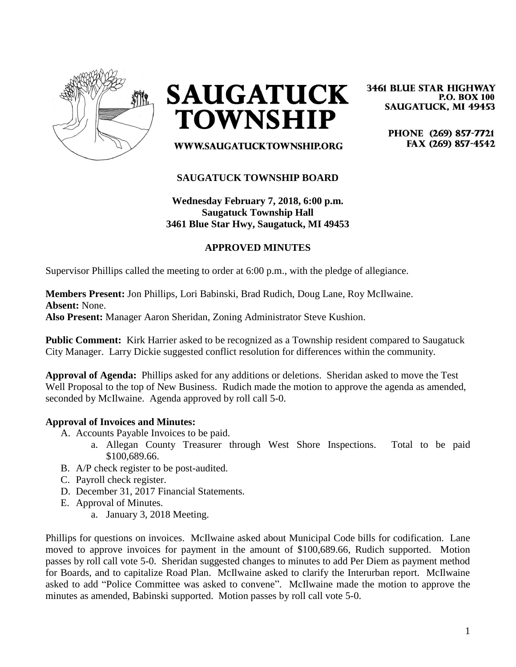

**SAUGATUCK TOWNSHIP** 

**3461 BLUE STAR HIGHWAY P.O. BOX 100 SAUGATUCK, MI 49453** 

> PHONE (269) 857-7721 FAX (269) 857-4542

WWW.SAUGATUCKTOWNSHIP.ORG

### **SAUGATUCK TOWNSHIP BOARD**

# **Wednesday February 7, 2018, 6:00 p.m. Saugatuck Township Hall 3461 Blue Star Hwy, Saugatuck, MI 49453**

#### **APPROVED MINUTES**

Supervisor Phillips called the meeting to order at 6:00 p.m., with the pledge of allegiance.

**Members Present:** Jon Phillips, Lori Babinski, Brad Rudich, Doug Lane, Roy McIlwaine. **Absent:** None. **Also Present:** Manager Aaron Sheridan, Zoning Administrator Steve Kushion.

**Public Comment:** Kirk Harrier asked to be recognized as a Township resident compared to Saugatuck City Manager. Larry Dickie suggested conflict resolution for differences within the community.

**Approval of Agenda:** Phillips asked for any additions or deletions. Sheridan asked to move the Test Well Proposal to the top of New Business. Rudich made the motion to approve the agenda as amended, seconded by McIlwaine. Agenda approved by roll call 5-0.

#### **Approval of Invoices and Minutes:**

- A. Accounts Payable Invoices to be paid.
	- a. Allegan County Treasurer through West Shore Inspections. Total to be paid \$100,689.66.
- B. A/P check register to be post-audited.
- C. Payroll check register.
- D. December 31, 2017 Financial Statements.
- E. Approval of Minutes.
	- a. January 3, 2018 Meeting.

Phillips for questions on invoices. McIlwaine asked about Municipal Code bills for codification. Lane moved to approve invoices for payment in the amount of \$100,689.66, Rudich supported. Motion passes by roll call vote 5-0. Sheridan suggested changes to minutes to add Per Diem as payment method for Boards, and to capitalize Road Plan. McIlwaine asked to clarify the Interurban report. McIlwaine asked to add "Police Committee was asked to convene". McIlwaine made the motion to approve the minutes as amended, Babinski supported. Motion passes by roll call vote 5-0.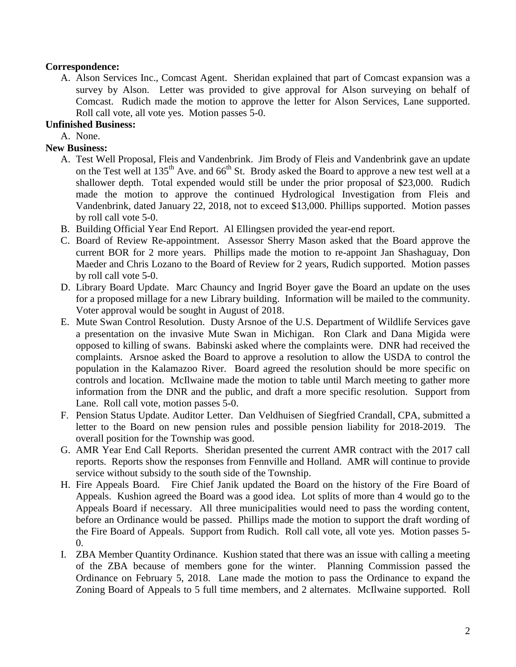# **Correspondence:**

A. Alson Services Inc., Comcast Agent. Sheridan explained that part of Comcast expansion was a survey by Alson. Letter was provided to give approval for Alson surveying on behalf of Comcast. Rudich made the motion to approve the letter for Alson Services, Lane supported. Roll call vote, all vote yes. Motion passes 5-0.

# **Unfinished Business:**

A. None.

### **New Business:**

- A. Test Well Proposal, Fleis and Vandenbrink. Jim Brody of Fleis and Vandenbrink gave an update on the Test well at 135<sup>th</sup> Ave. and 66<sup>th</sup> St. Brody asked the Board to approve a new test well at a shallower depth. Total expended would still be under the prior proposal of \$23,000. Rudich made the motion to approve the continued Hydrological Investigation from Fleis and Vandenbrink, dated January 22, 2018, not to exceed \$13,000. Phillips supported. Motion passes by roll call vote 5-0.
- B. Building Official Year End Report. Al Ellingsen provided the year-end report.
- C. Board of Review Re-appointment. Assessor Sherry Mason asked that the Board approve the current BOR for 2 more years. Phillips made the motion to re-appoint Jan Shashaguay, Don Maeder and Chris Lozano to the Board of Review for 2 years, Rudich supported. Motion passes by roll call vote 5-0.
- D. Library Board Update. Marc Chauncy and Ingrid Boyer gave the Board an update on the uses for a proposed millage for a new Library building. Information will be mailed to the community. Voter approval would be sought in August of 2018.
- E. Mute Swan Control Resolution. Dusty Arsnoe of the U.S. Department of Wildlife Services gave a presentation on the invasive Mute Swan in Michigan. Ron Clark and Dana Migida were opposed to killing of swans. Babinski asked where the complaints were. DNR had received the complaints. Arsnoe asked the Board to approve a resolution to allow the USDA to control the population in the Kalamazoo River. Board agreed the resolution should be more specific on controls and location. McIlwaine made the motion to table until March meeting to gather more information from the DNR and the public, and draft a more specific resolution. Support from Lane. Roll call vote, motion passes 5-0.
- F. Pension Status Update. Auditor Letter. Dan Veldhuisen of Siegfried Crandall, CPA, submitted a letter to the Board on new pension rules and possible pension liability for 2018-2019. The overall position for the Township was good.
- G. AMR Year End Call Reports. Sheridan presented the current AMR contract with the 2017 call reports. Reports show the responses from Fennville and Holland. AMR will continue to provide service without subsidy to the south side of the Township.
- H. Fire Appeals Board. Fire Chief Janik updated the Board on the history of the Fire Board of Appeals. Kushion agreed the Board was a good idea. Lot splits of more than 4 would go to the Appeals Board if necessary. All three municipalities would need to pass the wording content, before an Ordinance would be passed. Phillips made the motion to support the draft wording of the Fire Board of Appeals. Support from Rudich. Roll call vote, all vote yes. Motion passes 5- 0.
- I. ZBA Member Quantity Ordinance. Kushion stated that there was an issue with calling a meeting of the ZBA because of members gone for the winter. Planning Commission passed the Ordinance on February 5, 2018. Lane made the motion to pass the Ordinance to expand the Zoning Board of Appeals to 5 full time members, and 2 alternates. McIlwaine supported. Roll